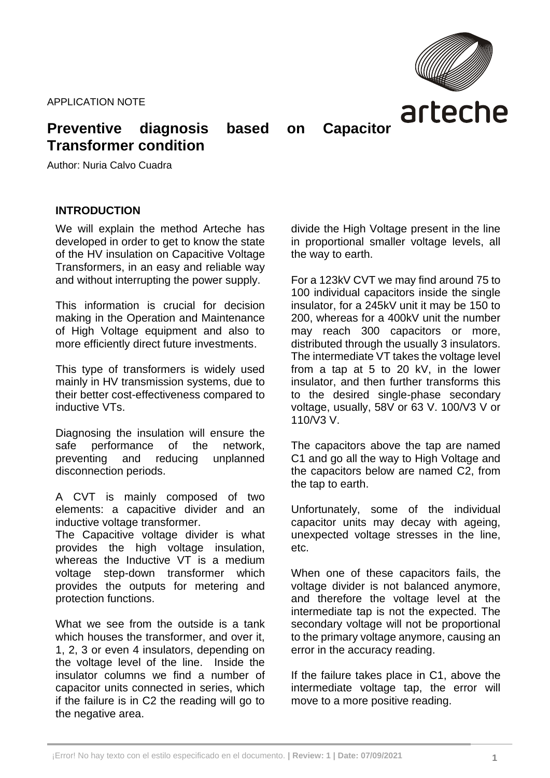APPLICATION NOTE



# **Preventive diagnosis based on Capacitor Transformer condition**

Author: Nuria Calvo Cuadra

### **INTRODUCTION**

We will explain the method Arteche has developed in order to get to know the state of the HV insulation on Capacitive Voltage Transformers, in an easy and reliable way and without interrupting the power supply.

This information is crucial for decision making in the Operation and Maintenance of High Voltage equipment and also to more efficiently direct future investments.

This type of transformers is widely used mainly in HV transmission systems, due to their better cost-effectiveness compared to inductive VTs.

Diagnosing the insulation will ensure the safe performance of the network, preventing and reducing unplanned disconnection periods.

A CVT is mainly composed of two elements: a capacitive divider and an inductive voltage transformer.

The Capacitive voltage divider is what provides the high voltage insulation, whereas the Inductive VT is a medium voltage step-down transformer which provides the outputs for metering and protection functions.

What we see from the outside is a tank which houses the transformer, and over it, 1, 2, 3 or even 4 insulators, depending on the voltage level of the line. Inside the insulator columns we find a number of capacitor units connected in series, which if the failure is in C2 the reading will go to the negative area.

divide the High Voltage present in the line in proportional smaller voltage levels, all the way to earth.

For a 123kV CVT we may find around 75 to 100 individual capacitors inside the single insulator, for a 245kV unit it may be 150 to 200, whereas for a 400kV unit the number may reach 300 capacitors or more, distributed through the usually 3 insulators. The intermediate VT takes the voltage level from a tap at 5 to 20 kV, in the lower insulator, and then further transforms this to the desired single-phase secondary voltage, usually, 58V or 63 V. 100/V3 V or 110/V3 V.

The capacitors above the tap are named C1 and go all the way to High Voltage and the capacitors below are named C2, from the tap to earth.

Unfortunately, some of the individual capacitor units may decay with ageing, unexpected voltage stresses in the line, etc.

When one of these capacitors fails, the voltage divider is not balanced anymore, and therefore the voltage level at the intermediate tap is not the expected. The secondary voltage will not be proportional to the primary voltage anymore, causing an error in the accuracy reading.

If the failure takes place in C1, above the intermediate voltage tap, the error will move to a more positive reading.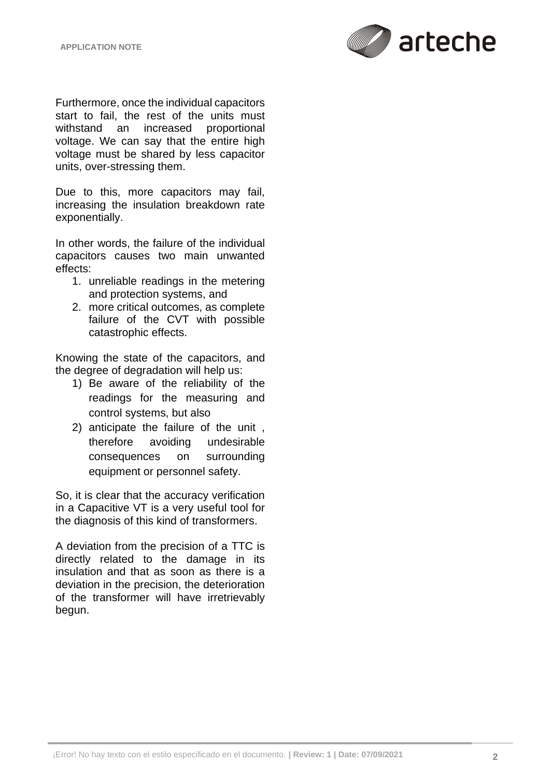

Furthermore, once the individual capacitors start to fail, the rest of the units must withstand an increased proportional voltage. We can say that the entire high voltage must be shared by less capacitor units, over-stressing them.

Due to this, more capacitors may fail, increasing the insulation breakdown rate exponentially.

In other words, the failure of the individual capacitors causes two main unwanted effects:

- 1. unreliable readings in the metering and protection systems, and
- 2. more critical outcomes, as complete failure of the CVT with possible catastrophic effects.

Knowing the state of the capacitors, and the degree of degradation will help us:

- 1) Be aware of the reliability of the readings for the measuring and control systems, but also
- 2) anticipate the failure of the unit , therefore avoiding undesirable consequences on surrounding equipment or personnel safety.

So, it is clear that the accuracy verification in a Capacitive VT is a very useful tool for the diagnosis of this kind of transformers.

A deviation from the precision of a TTC is directly related to the damage in its insulation and that as soon as there is a deviation in the precision, the deterioration of the transformer will have irretrievably begun.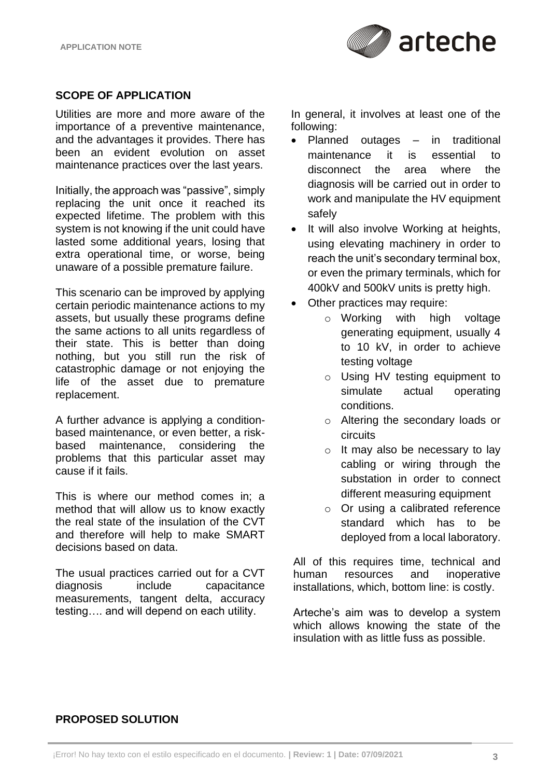

### **SCOPE OF APPLICATION**

Utilities are more and more aware of the importance of a preventive maintenance, and the advantages it provides. There has been an evident evolution on asset maintenance practices over the last years.

Initially, the approach was "passive", simply replacing the unit once it reached its expected lifetime. The problem with this system is not knowing if the unit could have lasted some additional years, losing that extra operational time, or worse, being unaware of a possible premature failure.

This scenario can be improved by applying certain periodic maintenance actions to my assets, but usually these programs define the same actions to all units regardless of their state. This is better than doing nothing, but you still run the risk of catastrophic damage or not enjoying the life of the asset due to premature replacement.

A further advance is applying a conditionbased maintenance, or even better, a riskbased maintenance, considering the problems that this particular asset may cause if it fails.

This is where our method comes in; a method that will allow us to know exactly the real state of the insulation of the CVT and therefore will help to make SMART decisions based on data.

The usual practices carried out for a CVT diagnosis include capacitance measurements, tangent delta, accuracy testing…. and will depend on each utility.

In general, it involves at least one of the following:

- Planned outages in traditional maintenance it is essential to disconnect the area where the diagnosis will be carried out in order to work and manipulate the HV equipment safely
- It will also involve Working at heights, using elevating machinery in order to reach the unit's secondary terminal box, or even the primary terminals, which for 400kV and 500kV units is pretty high.
- Other practices may require:
	- o Working with high voltage generating equipment, usually 4 to 10 kV, in order to achieve testing voltage
		- o Using HV testing equipment to simulate actual operating conditions.
		- o Altering the secondary loads or circuits
		- o It may also be necessary to lay cabling or wiring through the substation in order to connect different measuring equipment
		- o Or using a calibrated reference standard which has to be deployed from a local laboratory.

All of this requires time, technical and human resources and inoperative installations, which, bottom line: is costly.

Arteche's aim was to develop a system which allows knowing the state of the insulation with as little fuss as possible.

## **PROPOSED SOLUTION**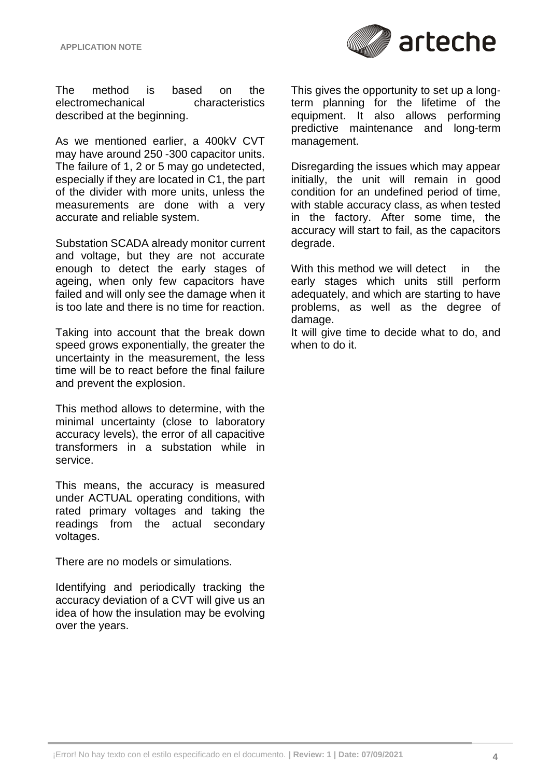

The method is based on the electromechanical characteristics described at the beginning.

As we mentioned earlier, a 400kV CVT may have around 250 -300 capacitor units. The failure of 1, 2 or 5 may go undetected, especially if they are located in C1, the part of the divider with more units, unless the measurements are done with a very accurate and reliable system.

Substation SCADA already monitor current and voltage, but they are not accurate enough to detect the early stages of ageing, when only few capacitors have failed and will only see the damage when it is too late and there is no time for reaction.

Taking into account that the break down speed grows exponentially, the greater the uncertainty in the measurement, the less time will be to react before the final failure and prevent the explosion.

This method allows to determine, with the minimal uncertainty (close to laboratory accuracy levels), the error of all capacitive transformers in a substation while in service.

This means, the accuracy is measured under ACTUAL operating conditions, with rated primary voltages and taking the readings from the actual secondary voltages.

There are no models or simulations.

Identifying and periodically tracking the accuracy deviation of a CVT will give us an idea of how the insulation may be evolving over the years.

This gives the opportunity to set up a longterm planning for the lifetime of the equipment. It also allows performing predictive maintenance and long-term management.

Disregarding the issues which may appear initially, the unit will remain in good condition for an undefined period of time, with stable accuracy class, as when tested in the factory. After some time, the accuracy will start to fail, as the capacitors degrade.

With this method we will detect in the early stages which units still perform adequately, and which are starting to have problems, as well as the degree of damage.

It will give time to decide what to do, and when to do it.